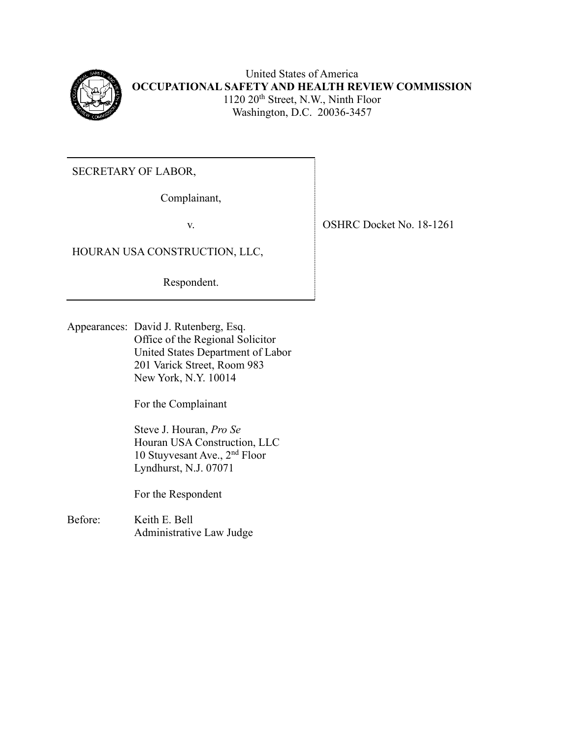

United States of America **OCCUPATIONAL SAFETY AND HEALTH REVIEW COMMISSION** 1120 20<sup>th</sup> Street, N.W., Ninth Floor Washington, D.C. 20036-3457

SECRETARY OF LABOR,

Complainant,

# HOURAN USA CONSTRUCTION, LLC,

Respondent.

Appearances: David J. Rutenberg, Esq. Office of the Regional Solicitor United States Department of Labor 201 Varick Street, Room 983 New York, N.Y. 10014

For the Complainant

 Steve J. Houran, *Pro Se* Houran USA Construction, LLC 10 Stuyvesant Ave., 2nd Floor Lyndhurst, N.J. 07071

For the Respondent

Before: Keith E. Bell Administrative Law Judge

v. SHRC Docket No. 18-1261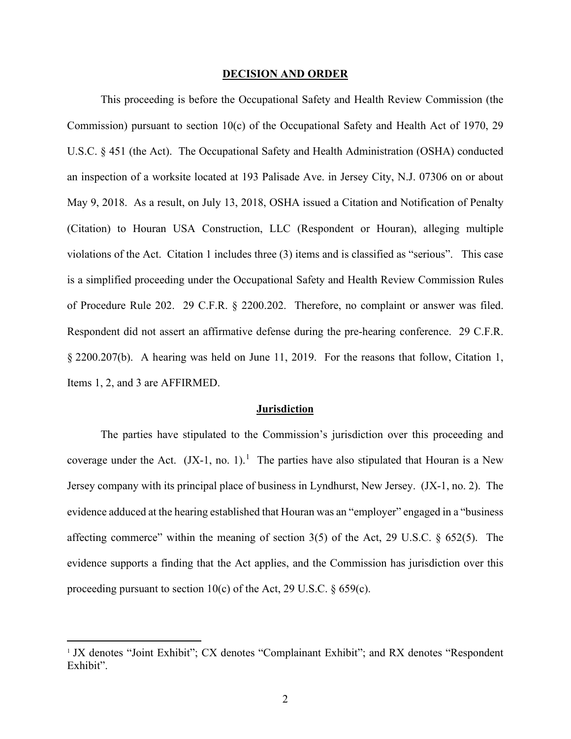#### **DECISION AND ORDER**

This proceeding is before the Occupational Safety and Health Review Commission (the Commission) pursuant to section 10(c) of the Occupational Safety and Health Act of 1970, 29 U.S.C. § 451 (the Act). The Occupational Safety and Health Administration (OSHA) conducted an inspection of a worksite located at 193 Palisade Ave. in Jersey City, N.J. 07306 on or about May 9, 2018. As a result, on July 13, 2018, OSHA issued a Citation and Notification of Penalty (Citation) to Houran USA Construction, LLC (Respondent or Houran), alleging multiple violations of the Act. Citation 1 includes three (3) items and is classified as "serious". This case is a simplified proceeding under the Occupational Safety and Health Review Commission Rules of Procedure Rule 202. 29 C.F.R. § 2200.202. Therefore, no complaint or answer was filed. Respondent did not assert an affirmative defense during the pre-hearing conference. 29 C.F.R. § 2200.207(b). A hearing was held on June 11, 2019. For the reasons that follow, Citation 1, Items 1, 2, and 3 are AFFIRMED.

#### **Jurisdiction**

The parties have stipulated to the Commission's jurisdiction over this proceeding and coverage under the Act.  $(IX-1, no. 1)$  $(IX-1, no. 1)$  $(IX-1, no. 1)$ .<sup>1</sup> The parties have also stipulated that Houran is a New Jersey company with its principal place of business in Lyndhurst, New Jersey. (JX-1, no. 2). The evidence adduced at the hearing established that Houran was an "employer" engaged in a "business affecting commerce" within the meaning of section 3(5) of the Act, 29 U.S.C. § 652(5). The evidence supports a finding that the Act applies, and the Commission has jurisdiction over this proceeding pursuant to section 10(c) of the Act, 29 U.S.C.  $\S$  659(c).

<span id="page-1-0"></span><sup>&</sup>lt;sup>1</sup> JX denotes "Joint Exhibit"; CX denotes "Complainant Exhibit"; and RX denotes "Respondent Exhibit".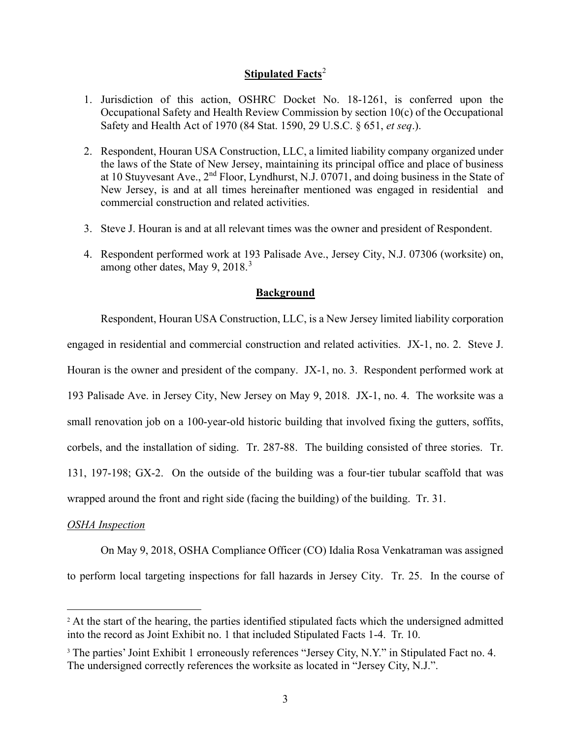## **Stipulated Facts**[2](#page-2-0)

- 1. Jurisdiction of this action, OSHRC Docket No. 18-1261, is conferred upon the Occupational Safety and Health Review Commission by section 10(c) of the Occupational Safety and Health Act of 1970 (84 Stat. 1590, 29 U.S.C. § 651, *et seq*.).
- 2. Respondent, Houran USA Construction, LLC, a limited liability company organized under the laws of the State of New Jersey, maintaining its principal office and place of business at 10 Stuyvesant Ave.,  $2<sup>nd</sup>$  Floor, Lyndhurst, N.J. 07071, and doing business in the State of New Jersey, is and at all times hereinafter mentioned was engaged in residential and commercial construction and related activities.
- 3. Steve J. Houran is and at all relevant times was the owner and president of Respondent.
- 4. Respondent performed work at 193 Palisade Ave., Jersey City, N.J. 07306 (worksite) on, among other dates, May 9, 2018.<sup>[3](#page-2-1)</sup>

### **Background**

Respondent, Houran USA Construction, LLC, is a New Jersey limited liability corporation engaged in residential and commercial construction and related activities. JX-1, no. 2. Steve J. Houran is the owner and president of the company. JX-1, no. 3. Respondent performed work at 193 Palisade Ave. in Jersey City, New Jersey on May 9, 2018. JX-1, no. 4. The worksite was a small renovation job on a 100-year-old historic building that involved fixing the gutters, soffits, corbels, and the installation of siding. Tr. 287-88. The building consisted of three stories. Tr. 131, 197-198; GX-2. On the outside of the building was a four-tier tubular scaffold that was wrapped around the front and right side (facing the building) of the building. Tr. 31.

### *OSHA Inspection*

On May 9, 2018, OSHA Compliance Officer (CO) Idalia Rosa Venkatraman was assigned to perform local targeting inspections for fall hazards in Jersey City. Tr. 25. In the course of

<span id="page-2-0"></span><sup>&</sup>lt;sup>2</sup> At the start of the hearing, the parties identified stipulated facts which the undersigned admitted into the record as Joint Exhibit no. 1 that included Stipulated Facts 1-4. Tr. 10.

<span id="page-2-1"></span><sup>&</sup>lt;sup>3</sup> The parties' Joint Exhibit 1 erroneously references "Jersey City, N.Y." in Stipulated Fact no. 4. The undersigned correctly references the worksite as located in "Jersey City, N.J.".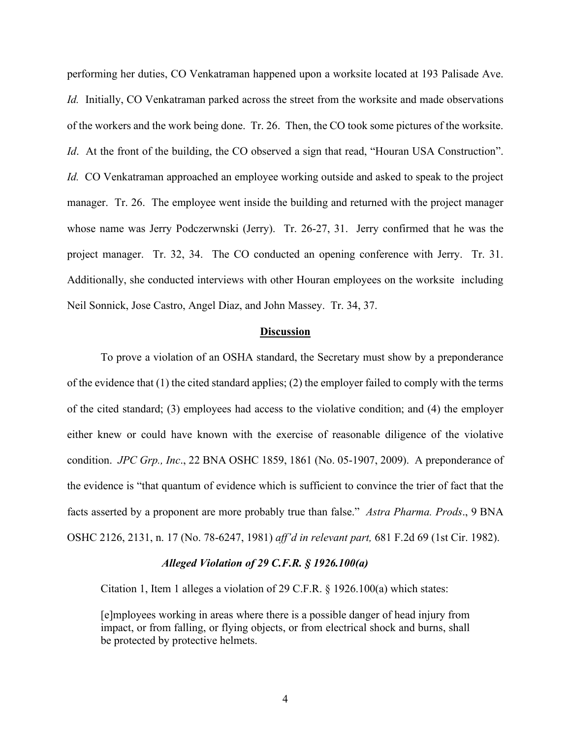performing her duties, CO Venkatraman happened upon a worksite located at 193 Palisade Ave. *Id.* Initially, CO Venkatraman parked across the street from the worksite and made observations of the workers and the work being done. Tr. 26. Then, the CO took some pictures of the worksite. *Id.* At the front of the building, the CO observed a sign that read, "Houran USA Construction". *Id.* CO Venkatraman approached an employee working outside and asked to speak to the project manager. Tr. 26. The employee went inside the building and returned with the project manager whose name was Jerry Podczerwnski (Jerry). Tr. 26-27, 31. Jerry confirmed that he was the project manager. Tr. 32, 34. The CO conducted an opening conference with Jerry. Tr. 31. Additionally, she conducted interviews with other Houran employees on the worksite including Neil Sonnick, Jose Castro, Angel Diaz, and John Massey. Tr. 34, 37.

#### **Discussion**

To prove a violation of an OSHA standard, the Secretary must show by a preponderance of the evidence that (1) the cited standard applies; (2) the employer failed to comply with the terms of the cited standard; (3) employees had access to the violative condition; and (4) the employer either knew or could have known with the exercise of reasonable diligence of the violative condition. *JPC Grp., Inc*., 22 BNA OSHC 1859, 1861 (No. 05-1907, 2009). A preponderance of the evidence is "that quantum of evidence which is sufficient to convince the trier of fact that the facts asserted by a proponent are more probably true than false." *Astra Pharma. Prods*., 9 BNA OSHC 2126, 2131, n. 17 (No. 78-6247, 1981) *aff'd in relevant part,* 681 F.2d 69 (1st Cir. 1982).

## *Alleged Violation of 29 C.F.R. § 1926.100(a)*

Citation 1, Item 1 alleges a violation of 29 C.F.R. § 1926.100(a) which states:

[e]mployees working in areas where there is a possible danger of head injury from impact, or from falling, or flying objects, or from electrical shock and burns, shall be protected by protective helmets.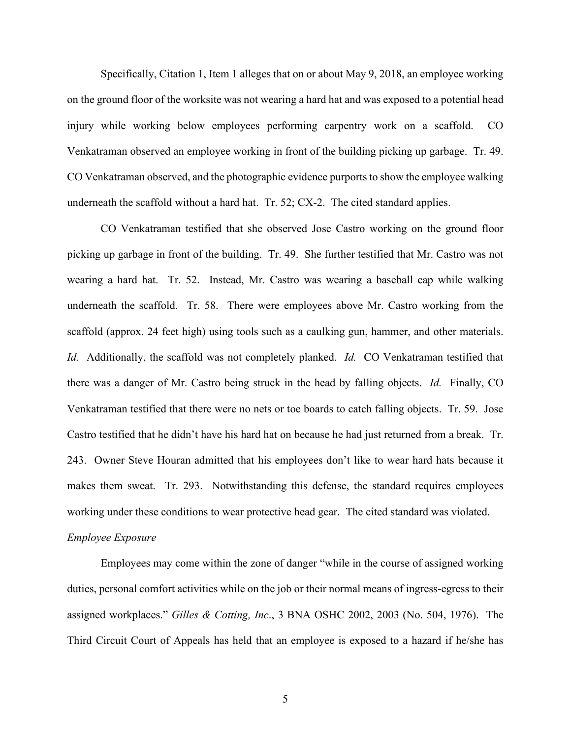Specifically, Citation 1, Item 1 alleges that on or about May 9, 2018, an employee working on the ground floor of the worksite was not wearing a hard hat and was exposed to a potential head injury while working below employees performing carpentry work on a scaffold. CO Venkatraman observed an employee working in front of the building picking up garbage. Tr. 49. CO Venkatraman observed, and the photographic evidence purports to show the employee walking underneath the scaffold without a hard hat. Tr. 52; CX-2. The cited standard applies.

CO Venkatraman testified that she observed Jose Castro working on the ground floor picking up garbage in front of the building. Tr. 49. She further testified that Mr. Castro was not wearing a hard hat. Tr. 52. Instead, Mr. Castro was wearing a baseball cap while walking underneath the scaffold. Tr. 58. There were employees above Mr. Castro working from the scaffold (approx. 24 feet high) using tools such as a caulking gun, hammer, and other materials. *Id.* Additionally, the scaffold was not completely planked. *Id.* CO Venkatraman testified that there was a danger of Mr. Castro being struck in the head by falling objects. *Id.* Finally, CO Venkatraman testified that there were no nets or toe boards to catch falling objects. Tr. 59. Jose Castro testified that he didn't have his hard hat on because he had just returned from a break. Tr. 243. Owner Steve Houran admitted that his employees don't like to wear hard hats because it makes them sweat. Tr. 293. Notwithstanding this defense, the standard requires employees working under these conditions to wear protective head gear. The cited standard was violated.

#### *Employee Exposure*

 Employees may come within the zone of danger "while in the course of assigned working duties, personal comfort activities while on the job or their normal means of ingress-egress to their assigned workplaces." *Gilles & Cotting, Inc*., 3 BNA OSHC 2002, 2003 (No. 504, 1976). The Third Circuit Court of Appeals has held that an employee is exposed to a hazard if he/she has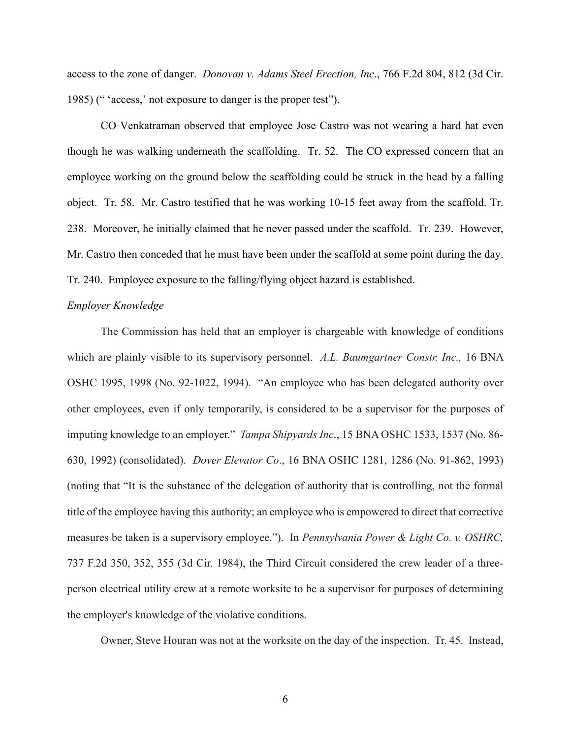access to the zone of danger. *Donovan v. Adams Steel Erection, Inc*., 766 F.2d 804, 812 (3d Cir. 1985) (" 'access,' not exposure to danger is the proper test").

CO Venkatraman observed that employee Jose Castro was not wearing a hard hat even though he was walking underneath the scaffolding. Tr. 52. The CO expressed concern that an employee working on the ground below the scaffolding could be struck in the head by a falling object. Tr. 58. Mr. Castro testified that he was working 10-15 feet away from the scaffold. Tr. 238. Moreover, he initially claimed that he never passed under the scaffold. Tr. 239. However, Mr. Castro then conceded that he must have been under the scaffold at some point during the day. Tr. 240. Employee exposure to the falling/flying object hazard is established.

## *Employer Knowledge*

The Commission has held that an employer is chargeable with knowledge of conditions which are plainly visible to its supervisory personnel. *A.L. Baumgartner Constr. Inc.,* 16 BNA OSHC 1995, 1998 (No. 92-1022, 1994). "An employee who has been delegated authority over other employees, even if only temporarily, is considered to be a supervisor for the purposes of imputing knowledge to an employer." *Tampa Shipyards Inc*., 15 BNA OSHC 1533, 1537 (No. 86- 630, 1992) (consolidated). *Dover Elevator Co*., 16 BNA OSHC 1281, 1286 (No. 91-862, 1993) (noting that "It is the substance of the delegation of authority that is controlling, not the formal title of the employee having this authority; an employee who is empowered to direct that corrective measures be taken is a supervisory employee."). In *Pennsylvania Power & Light Co. v. OSHRC,*  737 F.2d 350, 352, 355 (3d Cir. 1984), the Third Circuit considered the crew leader of a threeperson electrical utility crew at a remote worksite to be a supervisor for purposes of determining the employer's knowledge of the violative conditions.

Owner, Steve Houran was not at the worksite on the day of the inspection. Tr. 45. Instead,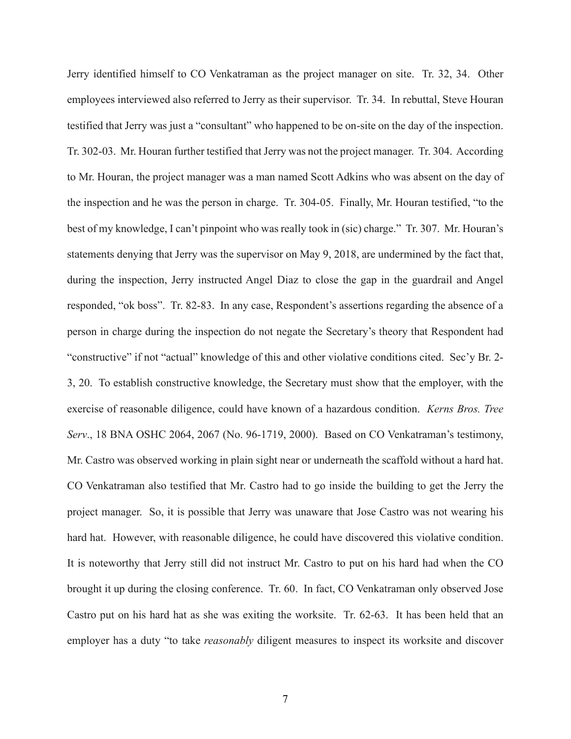Jerry identified himself to CO Venkatraman as the project manager on site. Tr. 32, 34. Other employees interviewed also referred to Jerry as their supervisor. Tr. 34. In rebuttal, Steve Houran testified that Jerry was just a "consultant" who happened to be on-site on the day of the inspection. Tr. 302-03. Mr. Houran further testified that Jerry was not the project manager. Tr. 304. According to Mr. Houran, the project manager was a man named Scott Adkins who was absent on the day of the inspection and he was the person in charge. Tr. 304-05. Finally, Mr. Houran testified, "to the best of my knowledge, I can't pinpoint who was really took in (sic) charge." Tr. 307. Mr. Houran's statements denying that Jerry was the supervisor on May 9, 2018, are undermined by the fact that, during the inspection, Jerry instructed Angel Diaz to close the gap in the guardrail and Angel responded, "ok boss". Tr. 82-83. In any case, Respondent's assertions regarding the absence of a person in charge during the inspection do not negate the Secretary's theory that Respondent had "constructive" if not "actual" knowledge of this and other violative conditions cited. Sec'y Br. 2- 3, 20. To establish constructive knowledge, the Secretary must show that the employer, with the exercise of reasonable diligence, could have known of a hazardous condition. *Kerns Bros. Tree Serv*., 18 BNA OSHC 2064, 2067 (No. 96-1719, 2000). Based on CO Venkatraman's testimony, Mr. Castro was observed working in plain sight near or underneath the scaffold without a hard hat. CO Venkatraman also testified that Mr. Castro had to go inside the building to get the Jerry the project manager. So, it is possible that Jerry was unaware that Jose Castro was not wearing his hard hat. However, with reasonable diligence, he could have discovered this violative condition. It is noteworthy that Jerry still did not instruct Mr. Castro to put on his hard had when the CO brought it up during the closing conference. Tr. 60. In fact, CO Venkatraman only observed Jose Castro put on his hard hat as she was exiting the worksite. Tr. 62-63. It has been held that an employer has a duty "to take *reasonably* diligent measures to inspect its worksite and discover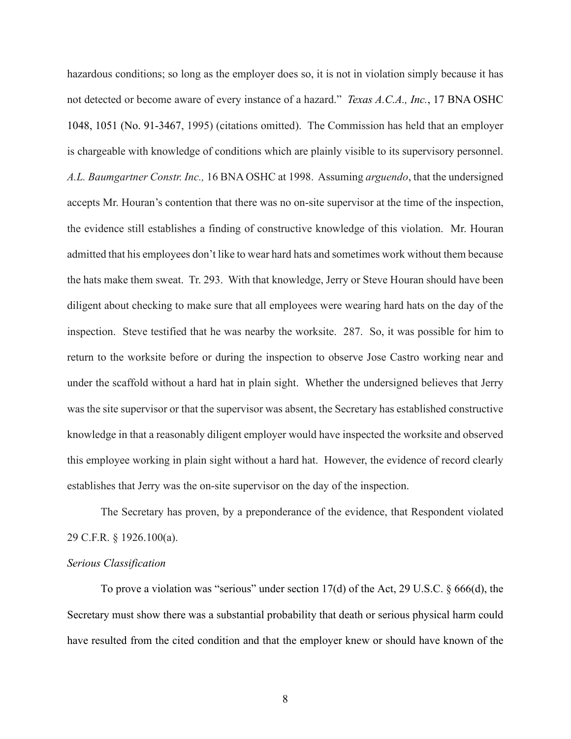hazardous conditions; so long as the employer does so, it is not in violation simply because it has not detected or become aware of every instance of a hazard." *[Texas A.C.A., Inc.](https://1.next.westlaw.com/Link/Document/FullText?findType=Y&serNum=1995533442&pubNum=0003227&originatingDoc=Iba763926339611e7b73588f1a9cfce05&refType=CA&fi=co_pp_sp_3227_1051&originationContext=document&transitionType=DocumentItem&contextData=(sc.Search)#co_pp_sp_3227_1051)*, 17 BNA OSHC [1048, 1051 \(No. 91-3467,](https://1.next.westlaw.com/Link/Document/FullText?findType=Y&serNum=1995533442&pubNum=0003227&originatingDoc=Iba763926339611e7b73588f1a9cfce05&refType=CA&fi=co_pp_sp_3227_1051&originationContext=document&transitionType=DocumentItem&contextData=(sc.Search)#co_pp_sp_3227_1051) 1995) (citations omitted). The Commission has held that an employer is chargeable with knowledge of conditions which are plainly visible to its supervisory personnel. *A.L. Baumgartner Constr. Inc.,* 16 BNA OSHC at 1998. Assuming *arguendo*, that the undersigned accepts Mr. Houran's contention that there was no on-site supervisor at the time of the inspection, the evidence still establishes a finding of constructive knowledge of this violation. Mr. Houran admitted that his employees don't like to wear hard hats and sometimes work without them because the hats make them sweat. Tr. 293. With that knowledge, Jerry or Steve Houran should have been diligent about checking to make sure that all employees were wearing hard hats on the day of the inspection. Steve testified that he was nearby the worksite. 287. So, it was possible for him to return to the worksite before or during the inspection to observe Jose Castro working near and under the scaffold without a hard hat in plain sight. Whether the undersigned believes that Jerry was the site supervisor or that the supervisor was absent, the Secretary has established constructive knowledge in that a reasonably diligent employer would have inspected the worksite and observed this employee working in plain sight without a hard hat. However, the evidence of record clearly establishes that Jerry was the on-site supervisor on the day of the inspection.

The Secretary has proven, by a preponderance of the evidence, that Respondent violated 29 C.F.R. § 1926.100(a).

#### *Serious Classification*

To prove a violation was "serious" under section  $17(d)$  of the Act, 29 U.S.C. § 666(d), the Secretary must show there was a substantial probability that death or serious physical harm could have resulted from the cited condition and that the employer knew or should have known of the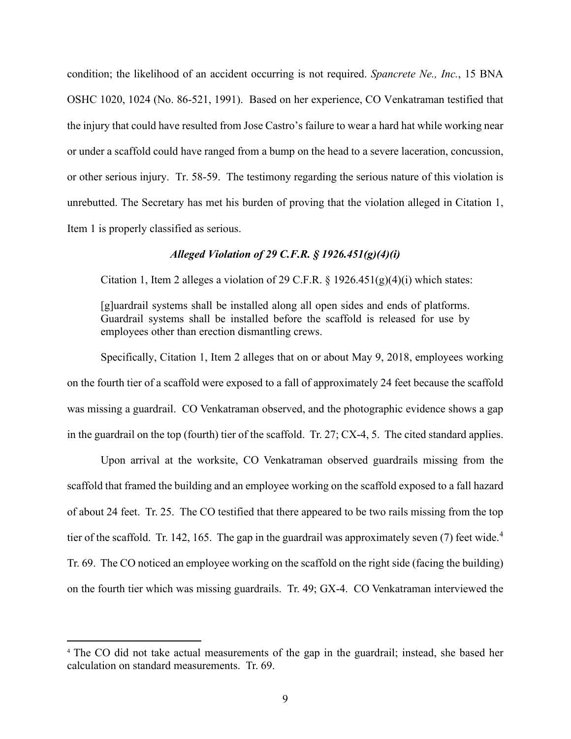condition; the likelihood of an accident occurring is not required. *Spancrete Ne., Inc.*, 15 BNA OSHC 1020, 1024 (No. 86-521, 1991). Based on her experience, CO Venkatraman testified that the injury that could have resulted from Jose Castro's failure to wear a hard hat while working near or under a scaffold could have ranged from a bump on the head to a severe laceration, concussion, or other serious injury. Tr. 58-59. The testimony regarding the serious nature of this violation is unrebutted. The Secretary has met his burden of proving that the violation alleged in Citation 1, Item 1 is properly classified as serious.

## *Alleged Violation of 29 C.F.R. § 1926.451(g)(4)(i)*

Citation 1, Item 2 alleges a violation of 29 C.F.R.  $\S$  1926.451(g)(4)(i) which states:

[g]uardrail systems shall be installed along all open sides and ends of platforms. Guardrail systems shall be installed before the scaffold is released for use by employees other than erection dismantling crews.

Specifically, Citation 1, Item 2 alleges that on or about May 9, 2018, employees working on the fourth tier of a scaffold were exposed to a fall of approximately 24 feet because the scaffold was missing a guardrail. CO Venkatraman observed, and the photographic evidence shows a gap in the guardrail on the top (fourth) tier of the scaffold. Tr. 27; CX-4, 5. The cited standard applies.

Upon arrival at the worksite, CO Venkatraman observed guardrails missing from the scaffold that framed the building and an employee working on the scaffold exposed to a fall hazard of about 24 feet. Tr. 25. The CO testified that there appeared to be two rails missing from the top tier of the scaffold. Tr. 1[4](#page-8-0)2, 165. The gap in the guardrail was approximately seven  $(7)$  feet wide.<sup>4</sup> Tr. 69. The CO noticed an employee working on the scaffold on the right side (facing the building) on the fourth tier which was missing guardrails. Tr. 49; GX-4. CO Venkatraman interviewed the

<span id="page-8-0"></span><sup>4</sup> The CO did not take actual measurements of the gap in the guardrail; instead, she based her calculation on standard measurements. Tr. 69.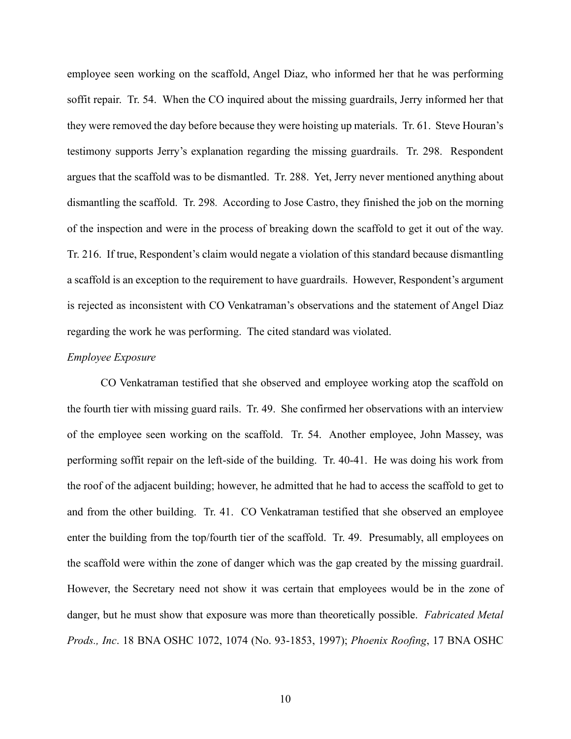employee seen working on the scaffold, Angel Diaz, who informed her that he was performing soffit repair. Tr. 54. When the CO inquired about the missing guardrails, Jerry informed her that they were removed the day before because they were hoisting up materials. Tr. 61. Steve Houran's testimony supports Jerry's explanation regarding the missing guardrails. Tr. 298. Respondent argues that the scaffold was to be dismantled. Tr. 288. Yet, Jerry never mentioned anything about dismantling the scaffold. Tr. 298*.* According to Jose Castro, they finished the job on the morning of the inspection and were in the process of breaking down the scaffold to get it out of the way. Tr. 216. If true, Respondent's claim would negate a violation of this standard because dismantling a scaffold is an exception to the requirement to have guardrails. However, Respondent's argument is rejected as inconsistent with CO Venkatraman's observations and the statement of Angel Diaz regarding the work he was performing. The cited standard was violated.

#### *Employee Exposure*

CO Venkatraman testified that she observed and employee working atop the scaffold on the fourth tier with missing guard rails. Tr. 49. She confirmed her observations with an interview of the employee seen working on the scaffold. Tr. 54. Another employee, John Massey, was performing soffit repair on the left-side of the building. Tr. 40-41. He was doing his work from the roof of the adjacent building; however, he admitted that he had to access the scaffold to get to and from the other building. Tr. 41. CO Venkatraman testified that she observed an employee enter the building from the top/fourth tier of the scaffold. Tr. 49. Presumably, all employees on the scaffold were within the zone of danger which was the gap created by the missing guardrail. However, the Secretary need not show it was certain that employees would be in the zone of danger, but he must show that exposure was more than theoretically possible. *Fabricated Metal Prods., Inc*. 18 BNA OSHC 1072, 1074 (No. 93-1853, 1997); *Phoenix Roofing*, 17 BNA OSHC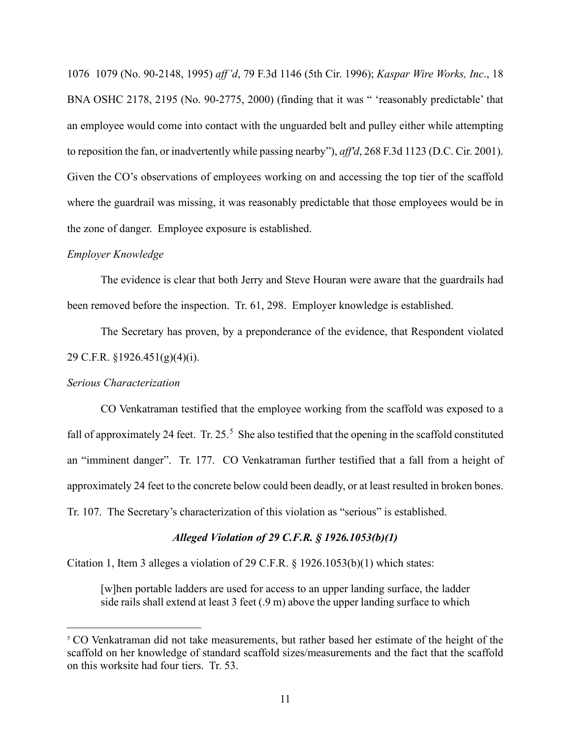1076 1079 (No. 90-2148, 1995) *aff'd*, 79 F.3d 1146 (5th Cir. 1996); *Kaspar Wire Works, Inc*., 18 BNA OSHC 2178, 2195 (No. 90-2775, 2000) (finding that it was " 'reasonably predictable' that an employee would come into contact with the unguarded belt and pulley either while attempting to reposition the fan, or inadvertently while passing nearby"), *aff'd*, 268 F.3d 1123 (D.C. Cir. 2001). Given the CO's observations of employees working on and accessing the top tier of the scaffold where the guardrail was missing, it was reasonably predictable that those employees would be in the zone of danger. Employee exposure is established.

## *Employer Knowledge*

The evidence is clear that both Jerry and Steve Houran were aware that the guardrails had been removed before the inspection. Tr. 61, 298. Employer knowledge is established.

The Secretary has proven, by a preponderance of the evidence, that Respondent violated 29 C.F.R. §1926.451(g)(4)(i).

### *Serious Characterization*

CO Venkatraman testified that the employee working from the scaffold was exposed to a fall of approximately 24 feet. Tr.  $25.^5$  $25.^5$  $25.^5$  She also testified that the opening in the scaffold constituted an "imminent danger". Tr. 177. CO Venkatraman further testified that a fall from a height of approximately 24 feet to the concrete below could been deadly, or at least resulted in broken bones. Tr. 107. The Secretary's characterization of this violation as "serious" is established.

## *Alleged Violation of 29 C.F.R. § 1926.1053(b)(1)*

Citation 1, Item 3 alleges a violation of 29 C.F.R. § 1926.1053(b)(1) which states:

[w]hen portable ladders are used for access to an upper landing surface, the ladder side rails shall extend at least 3 feet (.9 m) above the upper landing surface to which

<span id="page-10-0"></span><sup>&</sup>lt;sup>5</sup> CO Venkatraman did not take measurements, but rather based her estimate of the height of the scaffold on her knowledge of standard scaffold sizes/measurements and the fact that the scaffold on this worksite had four tiers. Tr. 53.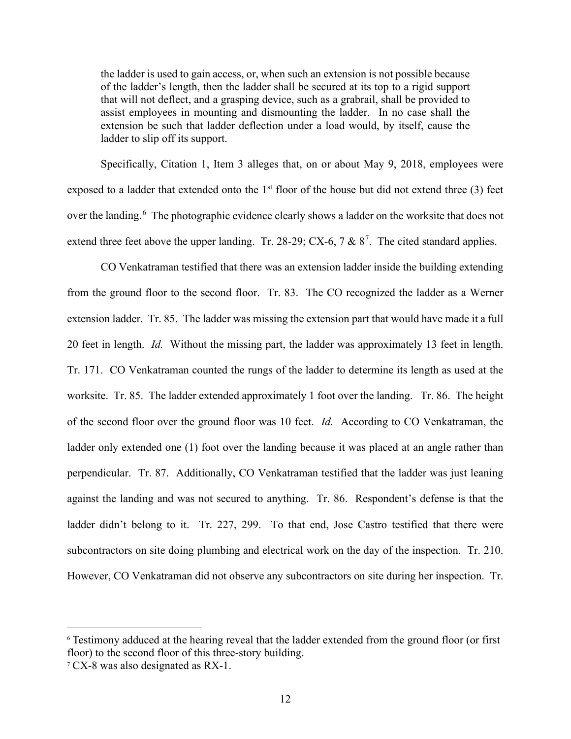the ladder is used to gain access, or, when such an extension is not possible because of the ladder's length, then the ladder shall be secured at its top to a rigid support that will not deflect, and a grasping device, such as a grabrail, shall be provided to assist employees in mounting and dismounting the ladder. In no case shall the extension be such that ladder deflection under a load would, by itself, cause the ladder to slip off its support.

Specifically, Citation 1, Item 3 alleges that, on or about May 9, 2018, employees were exposed to a ladder that extended onto the  $1<sup>st</sup>$  floor of the house but did not extend three (3) feet over the landing. <sup>[6](#page-11-0)</sup> The photographic evidence clearly shows a ladder on the worksite that does not extend three feet above the upper landing. Tr. 28-29; CX-6, [7](#page-11-1) &  $8^7$ . The cited standard applies.

CO Venkatraman testified that there was an extension ladder inside the building extending from the ground floor to the second floor. Tr. 83. The CO recognized the ladder as a Werner extension ladder. Tr. 85. The ladder was missing the extension part that would have made it a full 20 feet in length. *Id.* Without the missing part, the ladder was approximately 13 feet in length. Tr. 171. CO Venkatraman counted the rungs of the ladder to determine its length as used at the worksite. Tr. 85. The ladder extended approximately 1 foot over the landing. Tr. 86. The height of the second floor over the ground floor was 10 feet. *Id.* According to CO Venkatraman, the ladder only extended one (1) foot over the landing because it was placed at an angle rather than perpendicular. Tr. 87. Additionally, CO Venkatraman testified that the ladder was just leaning against the landing and was not secured to anything. Tr. 86. Respondent's defense is that the ladder didn't belong to it. Tr. 227, 299. To that end, Jose Castro testified that there were subcontractors on site doing plumbing and electrical work on the day of the inspection. Tr. 210. However, CO Venkatraman did not observe any subcontractors on site during her inspection. Tr.

<span id="page-11-0"></span><sup>6</sup> Testimony adduced at the hearing reveal that the ladder extended from the ground floor (or first floor) to the second floor of this three-story building.

<span id="page-11-1"></span><sup>7</sup> CX-8 was also designated as RX-1.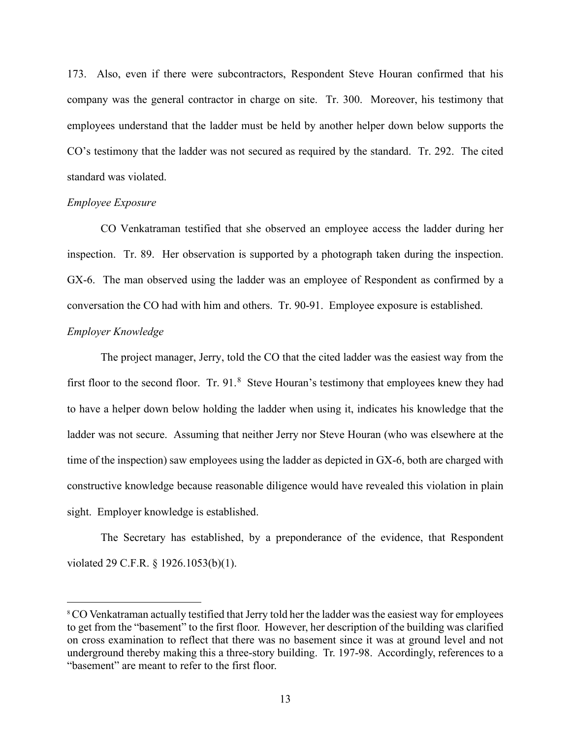173. Also, even if there were subcontractors, Respondent Steve Houran confirmed that his company was the general contractor in charge on site. Tr. 300. Moreover, his testimony that employees understand that the ladder must be held by another helper down below supports the CO's testimony that the ladder was not secured as required by the standard. Tr. 292. The cited standard was violated.

## *Employee Exposure*

CO Venkatraman testified that she observed an employee access the ladder during her inspection. Tr. 89. Her observation is supported by a photograph taken during the inspection. GX-6. The man observed using the ladder was an employee of Respondent as confirmed by a conversation the CO had with him and others. Tr. 90-91. Employee exposure is established.

# *Employer Knowledge*

The project manager, Jerry, told the CO that the cited ladder was the easiest way from the first floor to the second floor. Tr.  $91.8$  $91.8$  Steve Houran's testimony that employees knew they had to have a helper down below holding the ladder when using it, indicates his knowledge that the ladder was not secure. Assuming that neither Jerry nor Steve Houran (who was elsewhere at the time of the inspection) saw employees using the ladder as depicted in GX-6, both are charged with constructive knowledge because reasonable diligence would have revealed this violation in plain sight. Employer knowledge is established.

The Secretary has established, by a preponderance of the evidence, that Respondent violated 29 C.F.R. § 1926.1053(b)(1).

<span id="page-12-0"></span><sup>8</sup>CO Venkatraman actually testified that Jerry told her the ladder was the easiest way for employees to get from the "basement" to the first floor. However, her description of the building was clarified on cross examination to reflect that there was no basement since it was at ground level and not underground thereby making this a three-story building. Tr. 197-98. Accordingly, references to a "basement" are meant to refer to the first floor.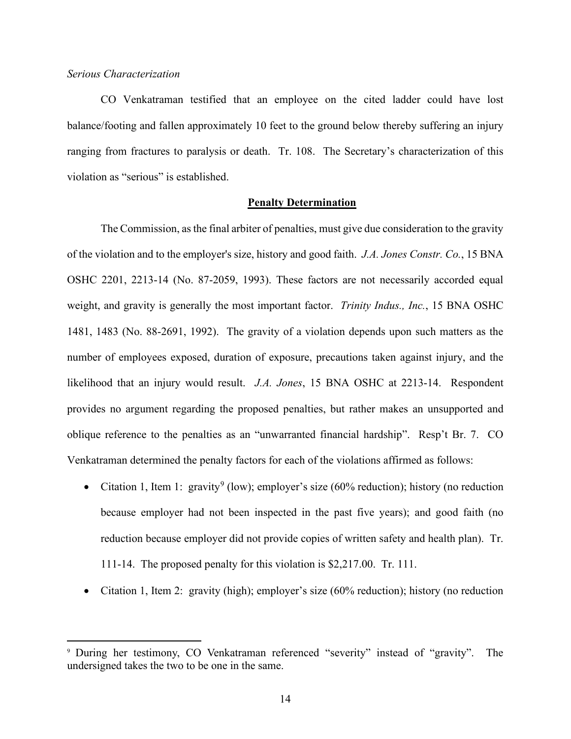## *Serious Characterization*

CO Venkatraman testified that an employee on the cited ladder could have lost balance/footing and fallen approximately 10 feet to the ground below thereby suffering an injury ranging from fractures to paralysis or death. Tr. 108. The Secretary's characterization of this violation as "serious" is established.

## **Penalty Determination**

The Commission, as the final arbiter of penalties, must give due consideration to the gravity of the violation and to the employer's size, history and good faith. *J.A. Jones Constr. Co.*, 15 BNA OSHC 2201, 2213-14 (No. 87-2059, 1993). These factors are not necessarily accorded equal weight, and gravity is generally the most important factor. *Trinity Indus., Inc.*, 15 BNA OSHC 1481, 1483 (No. 88-2691, 1992). The gravity of a violation depends upon such matters as the number of employees exposed, duration of exposure, precautions taken against injury, and the likelihood that an injury would result. *J.A. Jones*, 15 BNA OSHC at 2213-14. Respondent provides no argument regarding the proposed penalties, but rather makes an unsupported and oblique reference to the penalties as an "unwarranted financial hardship". Resp't Br. 7. CO Venkatraman determined the penalty factors for each of the violations affirmed as follows:

- Citation 1, Item 1: gravity<sup>[9](#page-13-0)</sup> (low); employer's size (60% reduction); history (no reduction because employer had not been inspected in the past five years); and good faith (no reduction because employer did not provide copies of written safety and health plan). Tr. 111-14. The proposed penalty for this violation is \$2,217.00. Tr. 111.
- Citation 1, Item 2: gravity (high); employer's size (60% reduction); history (no reduction

<span id="page-13-0"></span><sup>9</sup> During her testimony, CO Venkatraman referenced "severity" instead of "gravity". The undersigned takes the two to be one in the same.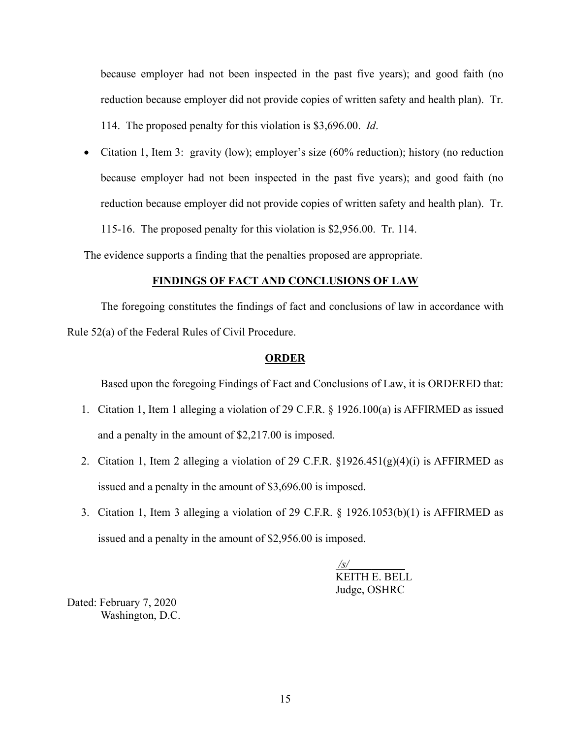because employer had not been inspected in the past five years); and good faith (no reduction because employer did not provide copies of written safety and health plan). Tr. 114. The proposed penalty for this violation is \$3,696.00. *Id*.

• Citation 1, Item 3: gravity (low); employer's size (60% reduction); history (no reduction because employer had not been inspected in the past five years); and good faith (no reduction because employer did not provide copies of written safety and health plan). Tr. 115-16. The proposed penalty for this violation is \$2,956.00. Tr. 114.

The evidence supports a finding that the penalties proposed are appropriate.

#### **FINDINGS OF FACT AND CONCLUSIONS OF LAW**

The foregoing constitutes the findings of fact and conclusions of law in accordance with Rule 52(a) of the Federal Rules of Civil Procedure.

#### **ORDER**

Based upon the foregoing Findings of Fact and Conclusions of Law, it is ORDERED that:

- 1. Citation 1, Item 1 alleging a violation of 29 C.F.R. § 1926.100(a) is AFFIRMED as issued and a penalty in the amount of \$2,217.00 is imposed.
- 2. Citation 1, Item 2 alleging a violation of 29 C.F.R.  $\S 1926.451(g)(4)(i)$  is AFFIRMED as issued and a penalty in the amount of \$3,696.00 is imposed.
- 3. Citation 1, Item 3 alleging a violation of 29 C.F.R. § 1926.1053(b)(1) is AFFIRMED as issued and a penalty in the amount of \$2,956.00 is imposed.

*/s/\_\_\_\_\_\_\_\_\_\_*  KEITH E. BELL Judge, OSHRC

Dated: February 7, 2020 Washington, D.C.